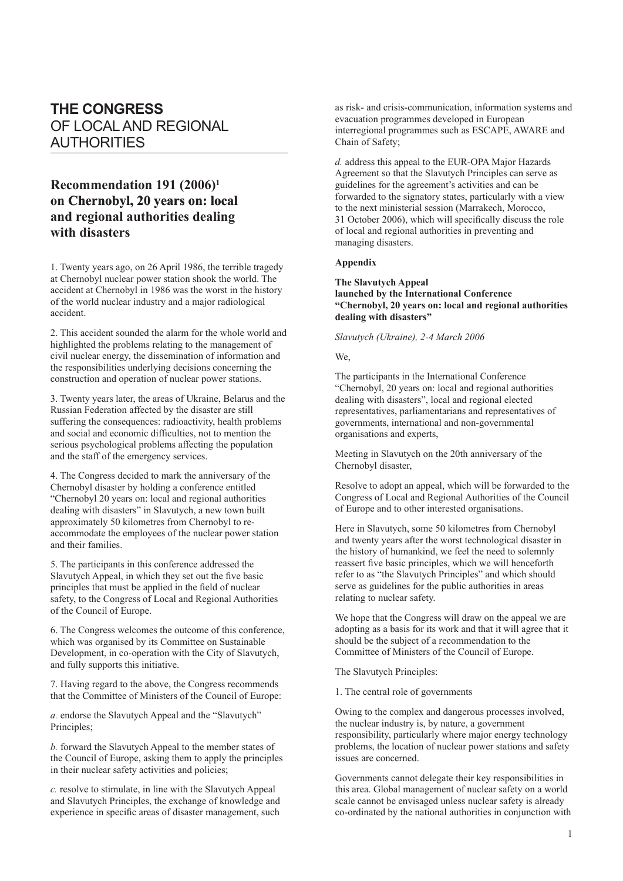# **THE CONGRESS** OF LOCAL AND REGIONAL AUTHORITIES

## **Recommendation 191 (2006)1 on �� Che�rno����� byl, 20 �yea���rs on�� � : local and regional authorities dealing with disasters**

1. Twenty years ago, on 26 April 1986, the terrible tragedy at Chernobyl nuclear power station shook the world. The accident at Chernobyl in 1986 was the worst in the history of the world nuclear industry and a major radiological accident.

2. This accident sounded the alarm for the whole world and highlighted the problems relating to the management of civil nuclear energy, the dissemination of information and the responsibilities underlying decisions concerning the construction and operation of nuclear power stations.

3. Twenty years later, the areas of Ukraine, Belarus and the Russian Federation affected by the disaster are still suffering the consequences: radioactivity, health problems and social and economic difficulties, not to mention the serious psychological problems affecting the population and the staff of the emergency services.

4. The Congress decided to mark the anniversary of the Chernobyl disaster by holding a conference entitled "Chernobyl 20 years on: local and regional authorities dealing with disasters" in Slavutych, a new town built approximately 50 kilometres from Chernobyl to reaccommodate the employees of the nuclear power station and their families.

5. The participants in this conference addressed the Slavutych Appeal, in which they set out the five basic principles that must be applied in the field of nuclear safety, to the Congress of Local and Regional Authorities of the Council of Europe.

6. The Congress welcomes the outcome of this conference, which was organised by its Committee on Sustainable Development, in co-operation with the City of Slavutych, and fully supports this initiative.

7. Having regard to the above, the Congress recommends that the Committee of Ministers of the Council of Europe:

*a.* endorse the Slavutych Appeal and the "Slavutych" Principles;

*b.* forward the Slavutych Appeal to the member states of the Council of Europe, asking them to apply the principles in their nuclear safety activities and policies;

*c.* resolve to stimulate, in line with the Slavutych Appeal and Slavutych Principles, the exchange of knowledge and experience in specific areas of disaster management, such

as risk- and crisis-communication, information systems and evacuation programmes developed in European interregional programmes such as ESCAPE, AWARE and Chain of Safety;

*d.* address this appeal to the EUR-OPA Major Hazards Agreement so that the Slavutych Principles can serve as guidelines for the agreement's activities and can be forwarded to the signatory states, particularly with a view to the next ministerial session (Marrakech, Morocco, 31 October 2006), which will specifically discuss the role of local and regional authorities in preventing and managing disasters.

#### **Appendix**

#### **The Slavutych Appeal launched by the International Conference "Chernobyl, 20 years on: local and regional authorities dealing with disasters"**

*Slavutych (Ukraine), 2-4 March 2006*

#### We,

The participants in the International Conference "Chernobyl, 20 years on: local and regional authorities dealing with disasters", local and regional elected representatives, parliamentarians and representatives of governments, international and non-governmental organisations and experts,

Meeting in Slavutych on the 20th anniversary of the Chernobyl disaster,

Resolve to adopt an appeal, which will be forwarded to the Congress of Local and Regional Authorities of the Council of Europe and to other interested organisations.

Here in Slavutych, some 50 kilometres from Chernobyl and twenty years after the worst technological disaster in the history of humankind, we feel the need to solemnly reassert five basic principles, which we will henceforth refer to as "the Slavutych Principles" and which should serve as guidelines for the public authorities in areas relating to nuclear safety.

We hope that the Congress will draw on the appeal we are adopting as a basis for its work and that it will agree that it should be the subject of a recommendation to the Committee of Ministers of the Council of Europe.

The Slavutych Principles:

1. The central role of governments

Owing to the complex and dangerous processes involved, the nuclear industry is, by nature, a government responsibility, particularly where major energy technology problems, the location of nuclear power stations and safety issues are concerned.

Governments cannot delegate their key responsibilities in this area. Global management of nuclear safety on a world scale cannot be envisaged unless nuclear safety is already co-ordinated by the national authorities in conjunction with